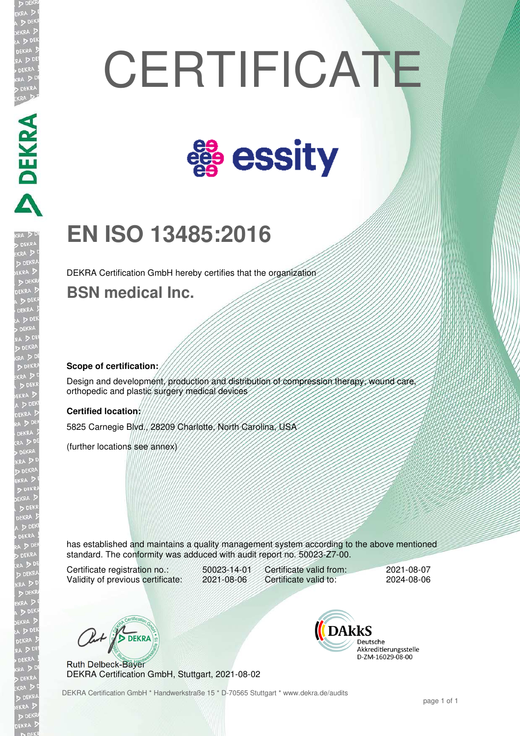# **CERTIFICATE**



## **EN ISO 13485:2016**

DEKRA Certification GmbH hereby certifies that the organization

**BSN medical Inc.** 

#### **Scope of certification:**

**PERRY AND PERRY** 

Design and development, production and distribution of compression therapy, wound care, orthopedic and plastic surgery medical devices

#### **Certified location:**

5825 Carnegie Blvd., 28209 Charlotte, North Carolina, USA

(further locations see annex)

has established and maintains a quality management system according to the above mentioned standard. The conformity was adduced with audit report no. 50023-Z7-00.

Certificate registration no.: 50023-14-01<br>Validity of previous certificate: 2021-08-06 Validity of previous certificate:

Certificate valid from: 2021-08-07<br>Certificate valid to: 2024-08-06 Certificate valid to:

Out BOEKRA

Ruth Delbeck-Bayer DEKRA Certification GmbH, Stuttgart, 2021-08-02 **DAKKS** Deutsche Akkreditierungsstelle D-ZM-16029-08-00

DEKRA Certification GmbH \* Handwerkstraße 15 \* D-70565 Stuttgart \* www.dekra.de/audits